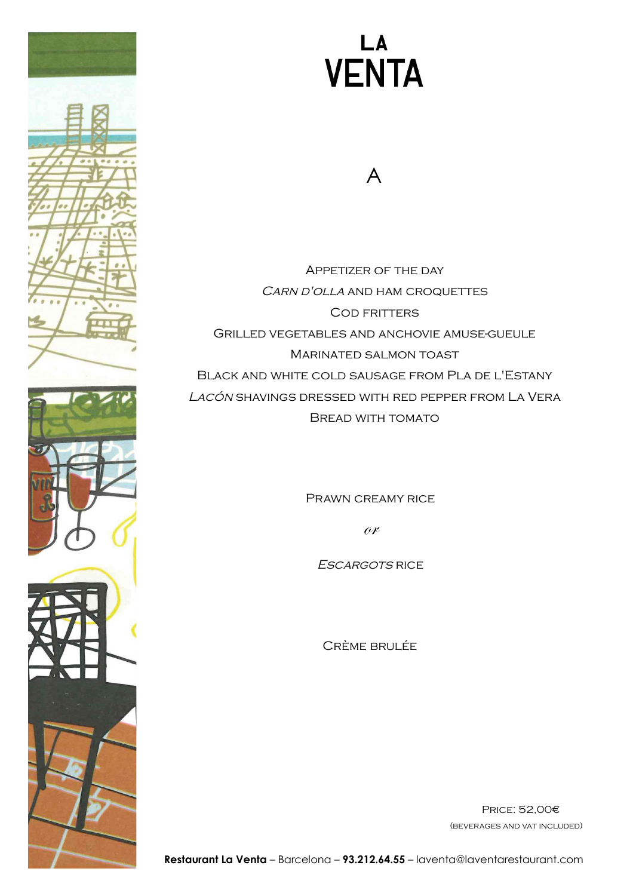

A

Appetizer of the day CARN D'OLLA AND HAM CROQUETTES Cod fritters Grilled vegetables and anchovie amuse-gueule Marinated salmon toast Black and white cold sausage from Pla de l'Estany Lacón shavings dressed with red pepper from La Vera Bread with tomato

PRAWN CREAMY RICE

or

Escargots rice

Crème brulée

Price: 52,00€ (beverages and vat included)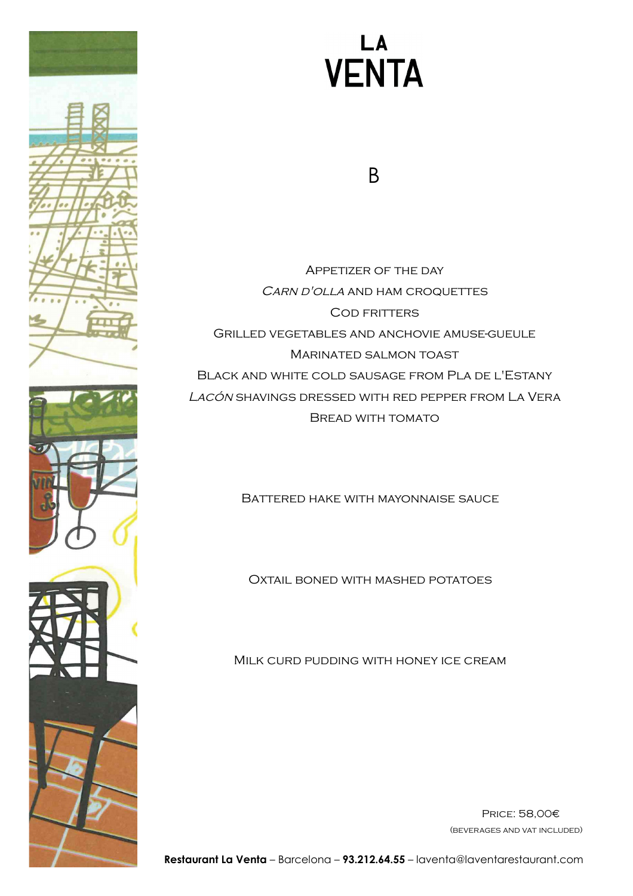

B

Appetizer of the day CARN D'OLLA AND HAM CROQUETTES Cod fritters Grilled vegetables and anchovie amuse-gueule Marinated salmon toast Black and white cold sausage from Pla de l'Estany Lacón shavings dressed with red pepper from La Vera Bread with tomato

Battered hake with mayonnaise sauce

Oxtail boned with mashed potatoes

Milk curd pudding with honey ice cream

Price: 58,00€ (beverages and vat included)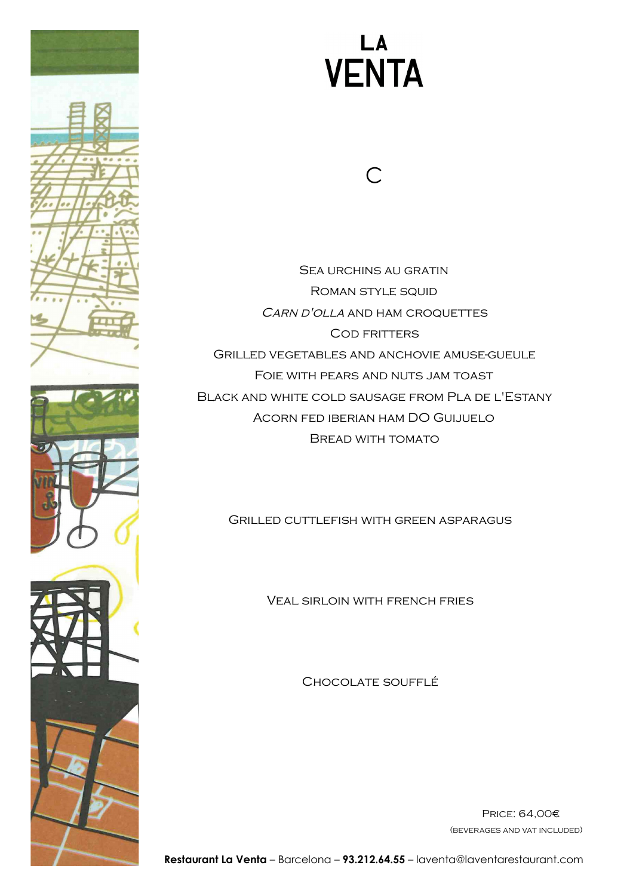

 $\bigcap$ 

Sea urchins au gratin Roman style squid CARN D'OLLA AND HAM CROQUETTES COD FRITTERS Grilled vegetables and anchovie amuse-gueule Foie with pears and nuts jam toast Black and white cold sausage from Pla de l'Estany Acorn fed iberian ham DO Guijuelo Bread with tomato

Grilled cuttlefish with green asparagus

Veal sirloin with french fries

Chocolate soufflé

Price: 64,00€ (beverages and vat included)